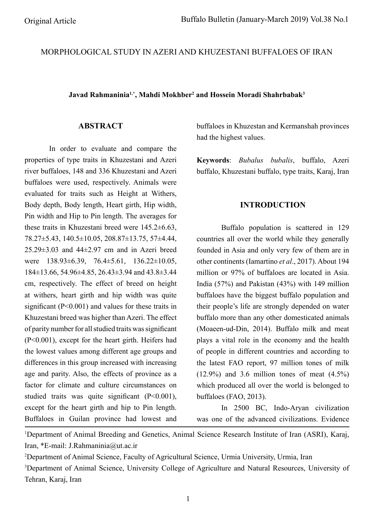# MORPHOLOGICAL STUDY IN AZERI AND KHUZESTANI BUFFALOES OF IRAN

**Javad Rahmaninia1,\*, Mahdi Mokhber2 and Hossein Moradi Shahrbabak3**

## **ABSTRACT**

In order to evaluate and compare the properties of type traits in Khuzestani and Azeri river buffaloes, 148 and 336 Khuzestani and Azeri buffaloes were used, respectively. Animals were evaluated for traits such as Height at Withers, Body depth, Body length, Heart girth, Hip width, Pin width and Hip to Pin length. The averages for these traits in Khuzestani breed were 145.2±6.63, 78.27±5.43, 140.5±10.05, 208.87±13.75, 57±4.44, 25.29±3.03 and 44±2.97 cm and in Azeri breed were 138.93±6.39, 76.4±5.61, 136.22±10.05, 184±13.66, 54.96±4.85, 26.43±3.94 and 43.8±3.44 cm, respectively. The effect of breed on height at withers, heart girth and hip width was quite signifcant (P<0.001) and values for these traits in Khuzestani breed was higher than Azeri. The effect of parity number for all studied traits was signifcant (P<0.001), except for the heart girth. Heifers had the lowest values among different age groups and differences in this group increased with increasing age and parity. Also, the effects of province as a factor for climate and culture circumstances on studied traits was quite signifcant (P<0.001), except for the heart girth and hip to Pin length. Buffaloes in Guilan province had lowest and buffaloes in Khuzestan and Kermanshah provinces had the highest values.

**Keywords**: *Bubalus bubalis*, buffalo, Azeri buffalo, Khuzestani buffalo, type traits, Karaj, Iran

## **INTRODUCTION**

Buffalo population is scattered in 129 countries all over the world while they generally founded in Asia and only very few of them are in other continents (Iamartino *et al*., 2017). About 194 million or 97% of buffaloes are located in Asia. India (57%) and Pakistan (43%) with 149 million buffaloes have the biggest buffalo population and their people's life are strongly depended on water buffalo more than any other domesticated animals (Moaeen-ud-Din, 2014). Buffalo milk and meat plays a vital role in the economy and the health of people in different countries and according to the latest FAO report, 97 million tones of milk  $(12.9\%)$  and 3.6 million tones of meat  $(4.5\%)$ which produced all over the world is belonged to buffaloes (FAO, 2013).

In 2500 BC, Indo-Aryan civilization was one of the advanced civilizations. Evidence

<sup>1</sup>Department of Animal Breeding and Genetics, Animal Science Research Institute of Iran (ASRI), Karaj, Iran, \*E-mail: J.Rahmaninia@ut.ac.ir

2 Department of Animal Science, Faculty of Agricultural Science, Urmia University, Urmia, Iran 3 Department of Animal Science, University College of Agriculture and Natural Resources, University of Tehran, Karaj, Iran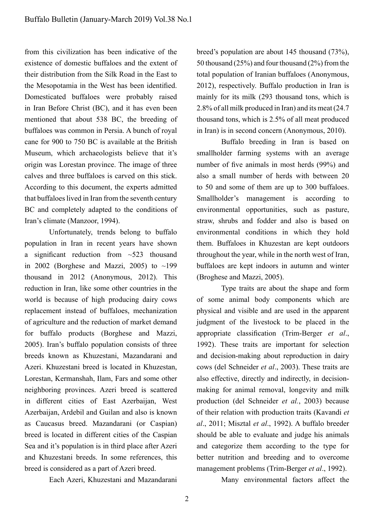from this civilization has been indicative of the existence of domestic buffaloes and the extent of their distribution from the Silk Road in the East to the Mesopotamia in the West has been identifed. Domesticated buffaloes were probably raised in Iran Before Christ (BC), and it has even been mentioned that about 538 BC, the breeding of buffaloes was common in Persia. A bunch of royal cane for 900 to 750 BC is available at the British Museum, which archaeologists believe that it's origin was Lorestan province. The image of three calves and three buffaloes is carved on this stick. According to this document, the experts admitted that buffaloes lived in Iran from the seventh century BC and completely adapted to the conditions of Iran's climate (Manzoor, 1994).

Unfortunately, trends belong to buffalo population in Iran in recent years have shown a significant reduction from  $\sim$ 523 thousand in 2002 (Borghese and Mazzi, 2005) to  $\sim$ 199 thousand in 2012 (Anonymous, 2012). This reduction in Iran, like some other countries in the world is because of high producing dairy cows replacement instead of buffaloes, mechanization of agriculture and the reduction of market demand for buffalo products (Borghese and Mazzi, 2005). Iran's buffalo population consists of three breeds known as Khuzestani, Mazandarani and Azeri. Khuzestani breed is located in Khuzestan, Lorestan, Kermanshah, Ilam, Fars and some other neighboring provinces. Azeri breed is scattered in different cities of East Azerbaijan, West Azerbaijan, Ardebil and Guilan and also is known as Caucasus breed. Mazandarani (or Caspian) breed is located in different cities of the Caspian Sea and it's population is in third place after Azeri and Khuzestani breeds. In some references, this breed is considered as a part of Azeri breed.

Each Azeri, Khuzestani and Mazandarani

breed's population are about 145 thousand (73%), 50 thousand (25%) and four thousand (2%) from the total population of Iranian buffaloes (Anonymous, 2012), respectively. Buffalo production in Iran is mainly for its milk (293 thousand tons, which is 2.8% of all milk produced in Iran) and its meat (24.7 thousand tons, which is 2.5% of all meat produced in Iran) is in second concern (Anonymous, 2010).

Buffalo breeding in Iran is based on smallholder farming systems with an average number of fve animals in most herds (99%) and also a small number of herds with between 20 to 50 and some of them are up to 300 buffaloes. Smallholder's management is according to environmental opportunities, such as pasture, straw, shrubs and fodder and also is based on environmental conditions in which they hold them. Buffaloes in Khuzestan are kept outdoors throughout the year, while in the north west of Iran, buffaloes are kept indoors in autumn and winter (Broghese and Mazzi, 2005).

Type traits are about the shape and form of some animal body components which are physical and visible and are used in the apparent judgment of the livestock to be placed in the appropriate classifcation (Trim-Berger *et al*., 1992). These traits are important for selection and decision-making about reproduction in dairy cows (del Schneider *et al*., 2003). These traits are also effective, directly and indirectly, in decisionmaking for animal removal, longevity and milk production (del Schneider *et al.*, 2003) because of their relation with production traits (Kavandi *et al*., 2011; Misztal *et al*., 1992). A buffalo breeder should be able to evaluate and judge his animals and categorize them according to the type for better nutrition and breeding and to overcome management problems (Trim-Berger *et al*., 1992).

Many environmental factors affect the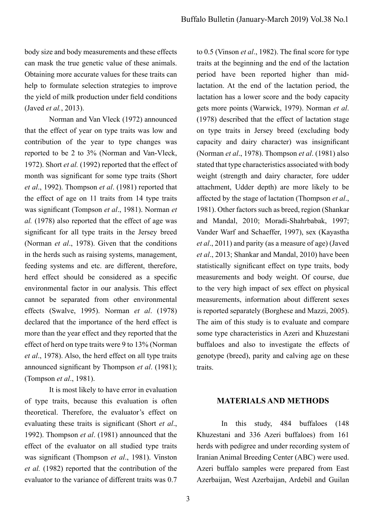body size and body measurements and these effects can mask the true genetic value of these animals. Obtaining more accurate values for these traits can help to formulate selection strategies to improve the yield of milk production under feld conditions (Javed *et al.*, 2013).

Norman and Van Vleck (1972) announced that the effect of year on type traits was low and contribution of the year to type changes was reported to be 2 to 3% (Norman and Van-Vleck, 1972). Short *et al.* (1992) reported that the effect of month was signifcant for some type traits (Short *et al*., 1992). Thompson *et al*. (1981) reported that the effect of age on 11 traits from 14 type traits was signifcant (Tompson *et al*., 1981). Norman *et al.* (1978) also reported that the effect of age was signifcant for all type traits in the Jersey breed (Norman *et al*., 1978). Given that the conditions in the herds such as raising systems, management, feeding systems and etc. are different, therefore, herd effect should be considered as a specifc environmental factor in our analysis. This effect cannot be separated from other environmental effects (Swalve, 1995). Norman *et al*. (1978) declared that the importance of the herd effect is more than the year effect and they reported that the effect of herd on type traits were 9 to 13% (Norman *et al*., 1978). Also, the herd effect on all type traits announced signifcant by Thompson *et al*. (1981); (Tompson *et al*., 1981).

It is most likely to have error in evaluation of type traits, because this evaluation is often theoretical. Therefore, the evaluator's effect on evaluating these traits is signifcant (Short *et al*., 1992). Thompson *et al*. (1981) announced that the effect of the evaluator on all studied type traits was signifcant (Thompson *et al*., 1981). Vinston *et al.* (1982) reported that the contribution of the evaluator to the variance of different traits was 0.7 to 0.5 (Vinson *et al*., 1982). The fnal score for type traits at the beginning and the end of the lactation period have been reported higher than midlactation. At the end of the lactation period, the lactation has a lower score and the body capacity gets more points (Warwick, 1979). Norman *et al*. (1978) described that the effect of lactation stage on type traits in Jersey breed (excluding body capacity and dairy character) was insignifcant (Norman *et al*., 1978). Thompson *et al*. (1981) also stated that type characteristics associated with body weight (strength and dairy character, fore udder attachment, Udder depth) are more likely to be affected by the stage of lactation (Thompson *et al*., 1981). Other factors such as breed, region (Shankar and Mandal, 2010; Moradi-Shahrbabak, 1997; Vander Warf and Schaeffer, 1997), sex (Kayastha *et al*., 2011) and parity (as a measure of age) (Javed *et al*., 2013; Shankar and Mandal, 2010) have been statistically signifcant effect on type traits, body measurements and body weight. Of course, due to the very high impact of sex effect on physical measurements, information about different sexes is reported separately (Borghese and Mazzi, 2005). The aim of this study is to evaluate and compare some type characteristics in Azeri and Khuzestani buffaloes and also to investigate the effects of genotype (breed), parity and calving age on these traits.

#### **MATERIALS AND METHODS**

In this study, 484 buffaloes (148 Khuzestani and 336 Azeri buffaloes) from 161 herds with pedigree and under recording system of Iranian Animal Breeding Center (ABC) were used. Azeri buffalo samples were prepared from East Azerbaijan, West Azerbaijan, Ardebil and Guilan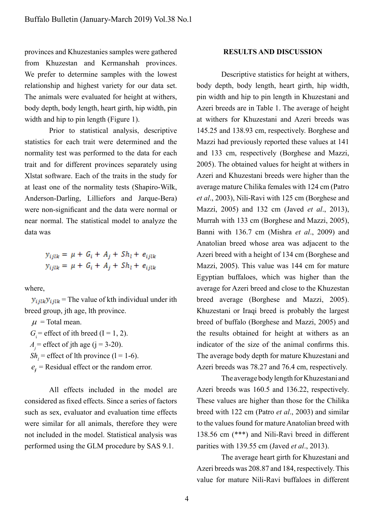provinces and Khuzestanies samples were gathered from Khuzestan and Kermanshah provinces. We prefer to determine samples with the lowest relationship and highest variety for our data set. The animals were evaluated for height at withers, body depth, body length, heart girth, hip width, pin width and hip to pin length (Figure 1).

Prior to statistical analysis, descriptive statistics for each trait were determined and the normality test was performed to the data for each trait and for different provinces separately using Xlstat software. Each of the traits in the study for at least one of the normality tests (Shapiro-Wilk, Anderson-Darling, Lilliefors and Jarque-Bera) were non-signifcant and the data were normal or near normal. The statistical model to analyze the data was

> $y_{ijlk} = \mu + G_i + A_j + Sh_l + e_{ijlk}$  $y_{ijk} = \mu + G_i + A_i + Sh_i + e_{ijk}$

where,

 $y_{i\hat{i}lk}$   $y_{i\hat{i}lk}$  = The value of kth individual under ith breed group, jth age, lth province.

 $\mu$  = Total mean.

 $G_i$  = effect of ith breed (I = 1, 2).

 $A_i$  = effect of jth age (j = 3-20).

 $Sh_l$  = effect of lth province (1 = 1-6).

 $e_i$  = Residual effect or the random error.

All effects included in the model are considered as fxed effects. Since a series of factors such as sex, evaluator and evaluation time effects were similar for all animals, therefore they were not included in the model. Statistical analysis was performed using the GLM procedure by SAS 9.1.

#### **RESULTS AND DISCUSSION**

Descriptive statistics for height at withers, body depth, body length, heart girth, hip width, pin width and hip to pin length in Khuzestani and Azeri breeds are in Table 1. The average of height at withers for Khuzestani and Azeri breeds was 145.25 and 138.93 cm, respectively. Borghese and Mazzi had previously reported these values at 141 and 133 cm, respectively (Borghese and Mazzi, 2005). The obtained values for height at withers in Azeri and Khuzestani breeds were higher than the average mature Chilika females with 124 cm (Patro *et al*., 2003), Nili-Ravi with 125 cm (Borghese and Mazzi, 2005) and 132 cm (Javed *et al*., 2013), Murrah with 133 cm (Borghese and Mazzi, 2005), Banni with 136.7 cm (Mishra *et al*., 2009) and Anatolian breed whose area was adjacent to the Azeri breed with a height of 134 cm (Borghese and Mazzi, 2005). This value was 144 cm for mature Egyptian buffaloes, which was higher than the average for Azeri breed and close to the Khuzestan breed average (Borghese and Mazzi, 2005). Khuzestani or Iraqi breed is probably the largest breed of buffalo (Borghese and Mazzi, 2005) and the results obtained for height at withers as an indicator of the size of the animal confrms this. The average body depth for mature Khuzestani and Azeri breeds was 78.27 and 76.4 cm, respectively.

The average body length for Khuzestani and Azeri breeds was 160.5 and 136.22, respectively. These values are higher than those for the Chilika breed with 122 cm (Patro *et al*., 2003) and similar to the values found for mature Anatolian breed with 138.56 cm (\*\*\*) and Nili-Ravi breed in different parities with 139.55 cm (Javed *et al*., 2013).

The average heart girth for Khuzestani and Azeri breeds was 208.87 and 184, respectively. This value for mature Nili-Ravi buffaloes in different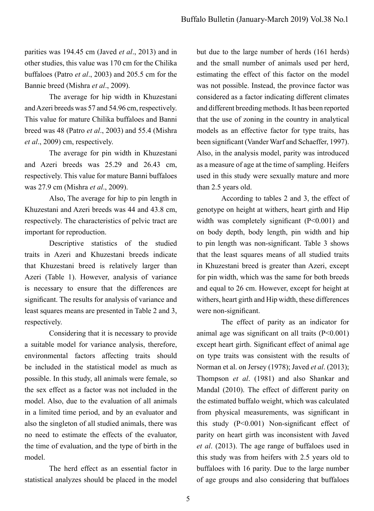parities was 194.45 cm (Javed *et al*., 2013) and in other studies, this value was 170 cm for the Chilika buffaloes (Patro *et al*., 2003) and 205.5 cm for the Bannie breed (Mishra *et al*., 2009).

The average for hip width in Khuzestani and Azeri breeds was 57 and 54.96 cm, respectively. This value for mature Chilika buffaloes and Banni breed was 48 (Patro *et al*., 2003) and 55.4 (Mishra *et al*., 2009) cm, respectively.

The average for pin width in Khuzestani and Azeri breeds was 25.29 and 26.43 cm, respectively. This value for mature Banni buffaloes was 27.9 cm (Mishra *et al*., 2009).

Also, The average for hip to pin length in Khuzestani and Azeri breeds was 44 and 43.8 cm, respectively. The characteristics of pelvic tract are important for reproduction.

Descriptive statistics of the studied traits in Azeri and Khuzestani breeds indicate that Khuzestani breed is relatively larger than Azeri (Table 1). However, analysis of variance is necessary to ensure that the differences are signifcant. The results for analysis of variance and least squares means are presented in Table 2 and 3, respectively.

Considering that it is necessary to provide a suitable model for variance analysis, therefore, environmental factors affecting traits should be included in the statistical model as much as possible. In this study, all animals were female, so the sex effect as a factor was not included in the model. Also, due to the evaluation of all animals in a limited time period, and by an evaluator and also the singleton of all studied animals, there was no need to estimate the effects of the evaluator, the time of evaluation, and the type of birth in the model.

The herd effect as an essential factor in statistical analyzes should be placed in the model but due to the large number of herds (161 herds) and the small number of animals used per herd, estimating the effect of this factor on the model was not possible. Instead, the province factor was considered as a factor indicating different climates and different breeding methods. It has been reported that the use of zoning in the country in analytical models as an effective factor for type traits, has been signifcant (Vander Warf and Schaeffer, 1997). Also, in the analysis model, parity was introduced as a measure of age at the time of sampling. Heifers used in this study were sexually mature and more than 2.5 years old.

According to tables 2 and 3, the effect of genotype on height at withers, heart girth and Hip width was completely significant (P<0.001) and on body depth, body length, pin width and hip to pin length was non-signifcant. Table 3 shows that the least squares means of all studied traits in Khuzestani breed is greater than Azeri, except for pin width, which was the same for both breeds and equal to 26 cm. However, except for height at withers, heart girth and Hip width, these differences were non-signifcant.

The effect of parity as an indicator for animal age was signifcant on all traits (P<0.001) except heart girth. Signifcant effect of animal age on type traits was consistent with the results of Norman et al. on Jersey (1978); Javed *et al*. (2013); Thompson *et al*. (1981) and also Shankar and Mandal (2010). The effect of different parity on the estimated buffalo weight, which was calculated from physical measurements, was signifcant in this study (P<0.001) Non-signifcant effect of parity on heart girth was inconsistent with Javed *et al*. (2013). The age range of buffaloes used in this study was from heifers with 2.5 years old to buffaloes with 16 parity. Due to the large number of age groups and also considering that buffaloes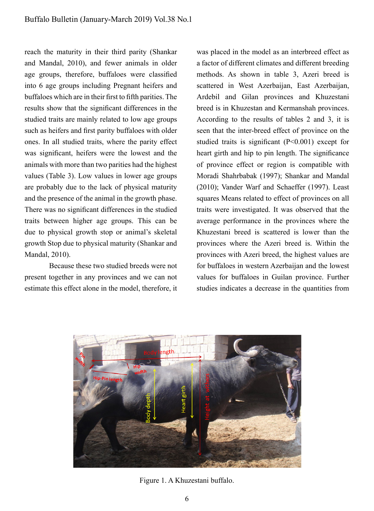reach the maturity in their third parity (Shankar and Mandal, 2010), and fewer animals in older age groups, therefore, buffaloes were classifed into 6 age groups including Pregnant heifers and buffaloes which are in their frst to ffth parities. The results show that the signifcant differences in the studied traits are mainly related to low age groups such as heifers and frst parity buffaloes with older ones. In all studied traits, where the parity effect was signifcant, heifers were the lowest and the animals with more than two parities had the highest values (Table 3). Low values in lower age groups are probably due to the lack of physical maturity and the presence of the animal in the growth phase. There was no signifcant differences in the studied traits between higher age groups. This can be due to physical growth stop or animal's skeletal growth Stop due to physical maturity (Shankar and Mandal, 2010).

Because these two studied breeds were not present together in any provinces and we can not estimate this effect alone in the model, therefore, it was placed in the model as an interbreed effect as a factor of different climates and different breeding methods. As shown in table 3, Azeri breed is scattered in West Azerbaijan, East Azerbaijan, Ardebil and Gilan provinces and Khuzestani breed is in Khuzestan and Kermanshah provinces. According to the results of tables 2 and 3, it is seen that the inter-breed effect of province on the studied traits is signifcant (P<0.001) except for heart girth and hip to pin length. The signifcance of province effect or region is compatible with Moradi Shahrbabak (1997); Shankar and Mandal (2010); Vander Warf and Schaeffer (1997). Least squares Means related to effect of provinces on all traits were investigated. It was observed that the average performance in the provinces where the Khuzestani breed is scattered is lower than the provinces where the Azeri breed is. Within the provinces with Azeri breed, the highest values are for buffaloes in western Azerbaijan and the lowest values for buffaloes in Guilan province. Further studies indicates a decrease in the quantities from



Figure 1. A Khuzestani buffalo.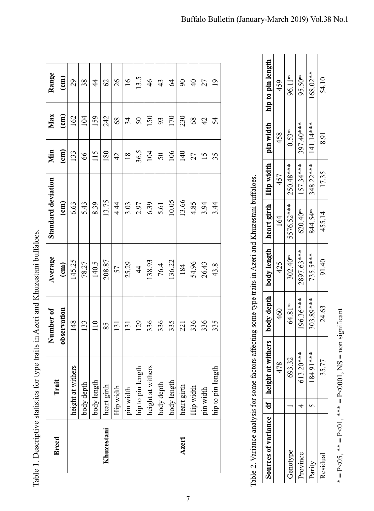| <b>Breed</b> | Trait             | Number of        | Average       | Standard deviation | Min             | Max             | Range           |
|--------------|-------------------|------------------|---------------|--------------------|-----------------|-----------------|-----------------|
|              |                   | observation      | $\epsilon$ m) | $\binom{cm}{c}$    | $\binom{cm}{c}$ | $\binom{cm}{ }$ | $\epsilon$ m    |
|              | height at withers | 148              | 145.25        | 6.63               | 133             | 162             | 29              |
|              | body depth        | 133              | 78.27         | 5.43               | 66              | 104             | 38              |
|              | body length       | 110              | 140.5         | 8.39               | 115             | 159             | $\frac{4}{3}$   |
| Khuzestani   | heart girth       | 85               | 208.87        | 13.75              | 180             | 242             | $\mathcal{O}$   |
|              | Hip width         | 131              | 57            | 4.44               | 42              | 68              | 26              |
|              | pin width         | $\overline{131}$ | 25.29         | 3.03               | $\frac{8}{18}$  | 34              | $\frac{6}{1}$   |
|              | hip to pin length | 129              | $\frac{4}{4}$ | 2.97               | 36.5            | 50              | 13.5            |
|              | height at withers | 336              | 138.93        | 6.39               | 104             | 150             | $\frac{4}{6}$   |
|              | body depth        | 336              | 76.4          | 5.61               | 50              | 93              | 43              |
|              | body length       | 335              | 136.22        | 10.05              | 106             | 170             | \$              |
| Azeri        | heart girth       | 221              | 184           | 13.66              | 140             | 230             | $\infty$        |
|              | Hip width         | 336              | 54.96         | 4.85               | 27              | $\frac{8}{3}$   | $\frac{1}{2}$   |
|              | pin width         | 336              | 26.43         | 3.94               | 15              | $\overline{4}$  | 27              |
|              | hip to pin length | 335              | 43.8          | 3.44               | 35              | 54              | $\overline{19}$ |

| entive statistics for fune fraits in Aren and K hurestani huffaloes<br>$\ddot{\phantom{0}}$ |
|---------------------------------------------------------------------------------------------|
| Ĭ                                                                                           |
|                                                                                             |
|                                                                                             |
|                                                                                             |
|                                                                                             |
|                                                                                             |
|                                                                                             |
|                                                                                             |
|                                                                                             |
|                                                                                             |
| l<br>$\frac{1}{2}$                                                                          |
|                                                                                             |
|                                                                                             |
| ------------                                                                                |
| I<br>֧֧֧֧֧֧֧֧֧֧֧֧֧֧֧֧֧֧֛֪֧֧֧֧֧֛֧֧֧֛֪֛֪֛֚֚֚֚֝֝֬֝֓֕֓֝֬֝֓֓֝֬֝֬֝֬֝֬֝֬֝֬֝֬֝֬֝֬֝֬֝֬֝֬֝֬֝֬֝֬֝֬֬֬֝֬ |
|                                                                                             |
| $\mathfrak{g}$                                                                              |
|                                                                                             |
|                                                                                             |
| ו<br>ו<br>נו<br>∣ oblo<br>-<br>E                                                            |

| hip to pin length<br>168.02**<br>96.11 <sup>ns</sup><br>95.50 <sup>ps</sup><br>54.10<br>459<br>$\frac{1}{2}$<br>27<br>$\overline{0}$<br>$\frac{8}{3}$<br>4<br>4<br>54<br>pin width<br>397.40***<br>141.14***<br>0.53 <sup>ns</sup><br>458<br>8.91<br>27<br>$\overline{15}$<br>35<br>Hip width<br>157.34***<br>348.22***<br>250.48***<br>17.35<br>457<br>s affecting some type traits in Azeri and Khuzestani buffaloes.<br>heart girth<br>5576.52***<br>4.85<br>3.94<br>3.44<br>620.40 <sup>ms</sup><br>844.54 <sup>ns</sup><br>455.14<br>164<br>body length<br>2897.63***<br>735.5***<br>302.40 <sup>ns</sup><br>91.40<br>54.96<br>425<br>26.43<br>43.8<br>body depth<br>196.36***<br>303.89***<br>$64.81^{\rm ns}$<br>24.63<br>460<br>336<br>336<br>335<br>withers<br>613.20***<br>184.91 ***<br>693.32<br>Table 2. Variance analysis for some factor<br>478<br>35.77<br>$\vert df \vert$ height at $\vert$<br>hip to pin length<br>Hip width<br>pin width<br>4<br>Sources of variance<br>Genotype<br>Province<br>Residual<br>Parity |   |  |  |  |  |  |
|----------------------------------------------------------------------------------------------------------------------------------------------------------------------------------------------------------------------------------------------------------------------------------------------------------------------------------------------------------------------------------------------------------------------------------------------------------------------------------------------------------------------------------------------------------------------------------------------------------------------------------------------------------------------------------------------------------------------------------------------------------------------------------------------------------------------------------------------------------------------------------------------------------------------------------------------------------------------------------------------------------------------------------------|---|--|--|--|--|--|
|                                                                                                                                                                                                                                                                                                                                                                                                                                                                                                                                                                                                                                                                                                                                                                                                                                                                                                                                                                                                                                        | 7 |  |  |  |  |  |
|                                                                                                                                                                                                                                                                                                                                                                                                                                                                                                                                                                                                                                                                                                                                                                                                                                                                                                                                                                                                                                        |   |  |  |  |  |  |
|                                                                                                                                                                                                                                                                                                                                                                                                                                                                                                                                                                                                                                                                                                                                                                                                                                                                                                                                                                                                                                        |   |  |  |  |  |  |
|                                                                                                                                                                                                                                                                                                                                                                                                                                                                                                                                                                                                                                                                                                                                                                                                                                                                                                                                                                                                                                        |   |  |  |  |  |  |
|                                                                                                                                                                                                                                                                                                                                                                                                                                                                                                                                                                                                                                                                                                                                                                                                                                                                                                                                                                                                                                        |   |  |  |  |  |  |
|                                                                                                                                                                                                                                                                                                                                                                                                                                                                                                                                                                                                                                                                                                                                                                                                                                                                                                                                                                                                                                        |   |  |  |  |  |  |
|                                                                                                                                                                                                                                                                                                                                                                                                                                                                                                                                                                                                                                                                                                                                                                                                                                                                                                                                                                                                                                        |   |  |  |  |  |  |
|                                                                                                                                                                                                                                                                                                                                                                                                                                                                                                                                                                                                                                                                                                                                                                                                                                                                                                                                                                                                                                        |   |  |  |  |  |  |
|                                                                                                                                                                                                                                                                                                                                                                                                                                                                                                                                                                                                                                                                                                                                                                                                                                                                                                                                                                                                                                        |   |  |  |  |  |  |
|                                                                                                                                                                                                                                                                                                                                                                                                                                                                                                                                                                                                                                                                                                                                                                                                                                                                                                                                                                                                                                        |   |  |  |  |  |  |
|                                                                                                                                                                                                                                                                                                                                                                                                                                                                                                                                                                                                                                                                                                                                                                                                                                                                                                                                                                                                                                        |   |  |  |  |  |  |
|                                                                                                                                                                                                                                                                                                                                                                                                                                                                                                                                                                                                                                                                                                                                                                                                                                                                                                                                                                                                                                        |   |  |  |  |  |  |

 $* = P < 0.5$ ,  $** = P < 0.1$ ,  $** = P < 0.01$ ,  $NS =$  non significant

\* =  $P<05$ , \*\* =  $P<01$ , \*\*\* =  $P<00001$ , NS = non significant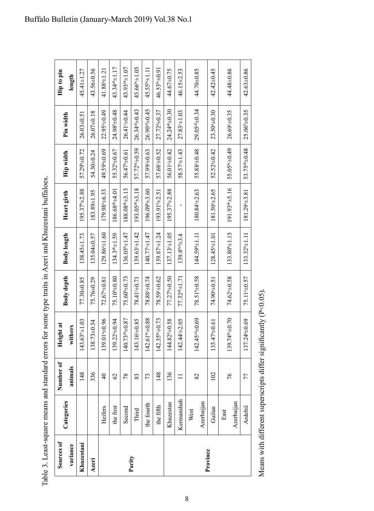| ;<br>;<br>j                                                                                                                |   |
|----------------------------------------------------------------------------------------------------------------------------|---|
|                                                                                                                            |   |
|                                                                                                                            |   |
|                                                                                                                            |   |
|                                                                                                                            |   |
|                                                                                                                            |   |
|                                                                                                                            |   |
|                                                                                                                            |   |
|                                                                                                                            |   |
|                                                                                                                            |   |
|                                                                                                                            |   |
|                                                                                                                            |   |
|                                                                                                                            |   |
|                                                                                                                            | 1 |
|                                                                                                                            |   |
|                                                                                                                            |   |
|                                                                                                                            |   |
|                                                                                                                            |   |
|                                                                                                                            |   |
|                                                                                                                            |   |
|                                                                                                                            |   |
|                                                                                                                            |   |
|                                                                                                                            |   |
| ֧֖֧֧֧֧֧֧֧֧֧֧֧֧֧֪֛֪֛֪֪֪֪֪֛֚֚֚֚֚֚֚֚֚֚֚֚֚֚֚֚֚֚֚֚֚֝֝֓֝֓֝֓֝֓֝֬֝֓֝֬֓֝֓֝֬֝֬֝֬֬֝֬֝֬֬֬֝֬֝֬֝֬֝֬                                      |   |
|                                                                                                                            |   |
|                                                                                                                            |   |
|                                                                                                                            |   |
|                                                                                                                            |   |
|                                                                                                                            |   |
|                                                                                                                            |   |
|                                                                                                                            |   |
|                                                                                                                            |   |
|                                                                                                                            |   |
|                                                                                                                            |   |
|                                                                                                                            |   |
|                                                                                                                            |   |
|                                                                                                                            |   |
|                                                                                                                            |   |
|                                                                                                                            |   |
|                                                                                                                            |   |
|                                                                                                                            | ı |
|                                                                                                                            |   |
|                                                                                                                            |   |
|                                                                                                                            |   |
|                                                                                                                            |   |
|                                                                                                                            |   |
|                                                                                                                            |   |
| $\sim$ 1 east-counte means and standard errors to the final traits in Agen and K hugestan buttalor $\sim$<br>$\frac{1}{2}$ |   |
|                                                                                                                            |   |
|                                                                                                                            |   |

| Sources of |            | Number of      | Height at                   |                          |                           |                              |                           |                          | Hip to pin                |
|------------|------------|----------------|-----------------------------|--------------------------|---------------------------|------------------------------|---------------------------|--------------------------|---------------------------|
| variance   | Categories | animals        | withers                     | Body depth               | Body length               | Heart girth                  | <b>Hip width</b>          | Pin width                | length                    |
| Khuzestani |            | 148            | $143.63*1.03$               | 77.30±0.85               | $138.45 \pm 1.73$         | $195.37^{\circ}$ $\pm 2.88$  | 57.29 <sup>b</sup> ±0.72  | $26.03 \pm 0.51$         | $45.41 \pm 1.27$          |
| Azeri      |            | 336            | 138.73±0.34                 | 75.76±0.29               | 135.04±0.57               | 183.89±1.95                  | $54.30 + 0.24$            | $26.07 \pm 0.18$         | 43.56±0.56                |
|            | Heifers    | $\overline{a}$ | 139.01 <sup>a</sup> ±0.96   | 72.6740.81               | $129.86 + 1.60$           | 179.98 $\pm$ 6.33            | 49.59 ± 0.69              | $22.95*10.49$            | $41.884 \pm 1.21$         |
|            | the first  | $\mathcal{O}$  | $139.22+0.94$               | $75.10*0.80$             | $134.3^{ab} \pm 1.59$     | $186.68^{\rm ab}$ $\pm 4.01$ | $55.32^{b} \pm 0.67$      | 24.98 <sup>b</sup> ±0.48 | 43.34 <sup>ab</sup> ±1.17 |
|            | Second     | 78             | $140.73^{ab} \pm 0.87$      | 75.60 <sup>b</sup> ±0.73 | $136.05^{b} \pm 1.47$     | $188.08^{ab} \pm 3.13$       | 56.47 <sup>b</sup> ±0.61  | $26.41 - 0.44$           | 43.93 <sup>ab</sup> ±1.07 |
| Parity     | Third      | 83             | Ō<br>$143.16 - 0.8$         | $78.41 - 0.71$           | $139.63 \pm 1.42$         | $193.05^{ab} \pm 3.18$       | 57.72 <sup>bc</sup> ±0.59 | $26.34^{od} \pm 0.43$    | $45.66^{b}$ $\pm 1.05$    |
|            | the fourth | 73             | $142.61^{bo} \pm 0.88$      | $78.88 - 0.74$           | 140.77 $\pm$ 1.47         | $196.09*±3.60$               | 57.99 ± 0.63              | $26.90^{od} \pm 0.45$    | $45.55^{bc} \pm 1.1$      |
|            | the fifth  | 148            | 73<br>$142.35^{bc} \pm 0.7$ | 78.59 ± 0.62             | $139.87 - 1.24$           | 193.91 <sup>b</sup> ±2.51    | 57.68 $\pm$ 0.52          | 27.724±0.37              | 46.53bc±0.91              |
|            | Khuzestan  | 136            | 144.82 <sup>4</sup> ±0.58   | $77.27^{b} \pm 0.50$     | 137.13 <sup>c</sup> ±1.05 | $195.37^{\circ}$ $\pm 2.88$  | $56.01 - 0.42$            | $24.24^{ab} \pm 0.30$    | 44.67±0.75                |
|            | Kermanshah | $\equiv$       | Ō<br>$142.444 + 2.0$        | $77.32^{ab} \pm 1.71$    | $139.8^{bed} \pm 3.4$     |                              | $58.57 - 1.43$            | $27.83 - 1.03$           | 46.15±2.53                |
|            | West       | 82             | $142.45^{\circ4} \pm 0.69$  | 78.51 <sup>b</sup> ±0.58 | 144.59 生1.11              | 180.84 $+2.63$               | 55.88 $\pm$ 0.48          | $29.05^{od} \pm 0.34$    | 44.70±0.85                |
|            | Azerbaijan |                |                             |                          |                           |                              |                           |                          |                           |
| Province   | Guilan     | 102            | 135.4740.61                 | $74.90 \pm 0.51$         | 128.4541.01               | 181.50 $+2.65$               | 52.5240.42                | $23.50*+0.30$            | 42.42±0.45                |
|            | East       |                | 139.74bc±0.70               |                          |                           |                              |                           |                          |                           |
|            | Azerbaijan | 76             |                             | 74.62 ±0.58              | $133.80^{b} \pm 1.15$     | 191.93 <sup>ab</sup> ±5.16   | $55.05^{bc} \pm 0.49$     | $26.69 - 35$             | 44.48±0.86                |
|            | Ardebil    | 77             | 137.24 <sup>a</sup> ±0.69   | 75.11 <sup>a</sup> ±0.57 | $133.32^{b+1}.11$         | $181.29 + 3.81$              | 53.75 <sup>ab</sup> ±0.48 | $25.06^{b} \pm 0.35$     | $42.63 + 0.86$            |

Means with different superscripts differ significantly (P<0.05). Means with different superscripts differ signifcantly (P<0.05).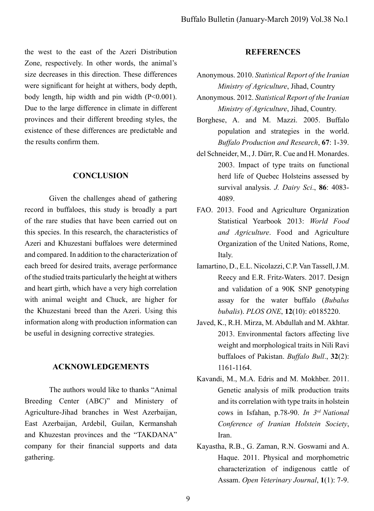the west to the east of the Azeri Distribution Zone, respectively. In other words, the animal's size decreases in this direction. These differences were signifcant for height at withers, body depth, body length, hip width and pin width  $(P<0.001)$ . Due to the large difference in climate in different provinces and their different breeding styles, the existence of these differences are predictable and the results confrm them.

## **CONCLUSION**

Given the challenges ahead of gathering record in buffaloes, this study is broadly a part of the rare studies that have been carried out on this species. In this research, the characteristics of Azeri and Khuzestani buffaloes were determined and compared. In addition to the characterization of each breed for desired traits, average performance of the studied traits particularly the height at withers and heart girth, which have a very high correlation with animal weight and Chuck, are higher for the Khuzestani breed than the Azeri. Using this information along with production information can be useful in designing corrective strategies.

## **ACKNOWLEDGEMENTS**

The authors would like to thanks "Animal Breeding Center (ABC)" and Ministery of Agriculture-Jihad branches in West Azerbaijan, East Azerbaijan, Ardebil, Guilan, Kermanshah and Khuzestan provinces and the "TAKDANA" company for their fnancial supports and data gathering.

## **REFERENCES**

- Anonymous. 2010. *Statistical Report of the Iranian Ministry of Agriculture*, Jihad, Country
- Anonymous. 2012. *Statistical Report of the Iranian Ministry of Agriculture*, Jihad, Country.
- Borghese, A. and M. Mazzi. 2005. Buffalo population and strategies in the world. *Buffalo Production and Research*, **67**: 1-39.
- del Schneider, M., J. Dürr, R. Cue and H. Monardes. 2003. Impact of type traits on functional herd life of Quebec Holsteins assessed by survival analysis. *J. Dairy Sci*., **86**: 4083- 4089.
- FAO. 2013. Food and Agriculture Organization Statistical Yearbook 2013: *World Food and Agriculture*. Food and Agriculture Organization of the United Nations, Rome, Italy.
- Iamartino, D., E.L. Nicolazzi, C.P. Van Tassell, J.M. Reecy and E.R. Fritz-Waters. 2017. Design and validation of a 90K SNP genotyping assay for the water buffalo (*Bubalus bubalis*). *PLOS ONE*, **12**(10): e0185220.
- Javed, K., R.H. Mirza, M. Abdullah and M. Akhtar. 2013. Environmental factors affecting live weight and morphological traits in Nili Ravi buffaloes of Pakistan. *Buffalo Bull*., **32**(2): 1161-1164.
- Kavandi, M., M.A. Edris and M. Mokhber. 2011. Genetic analysis of milk production traits and its correlation with type traits in holstein cows in Isfahan, p.78-90. *In 3rd National Conference of Iranian Holstein Society*, Iran.
- Kayastha, R.B., G. Zaman, R.N. Goswami and A. Haque. 2011. Physical and morphometric characterization of indigenous cattle of Assam. *Open Veterinary Journal*, **1**(1): 7-9.